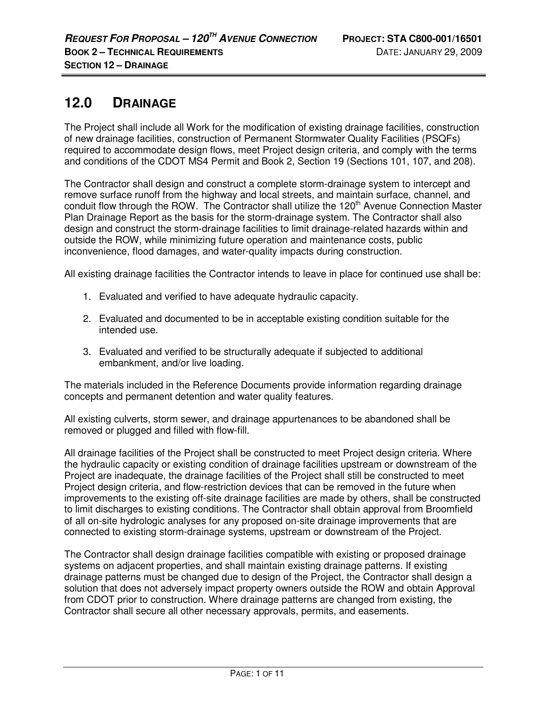# **12.0 DRAINAGE**

The Project shall include all Work for the modification of existing drainage facilities, construction of new drainage facilities, construction of Permanent Stormwater Quality Facilities (PSQFs) required to accommodate design flows, meet Project design criteria, and comply with the terms and conditions of the CDOT MS4 Permit and Book 2, Section 19 (Sections 101, 107, and 208).

The Contractor shall design and construct a complete storm-drainage system to intercept and remove surface runoff from the highway and local streets, and maintain surface, channel, and conduit flow through the ROW. The Contractor shall utilize the 120<sup>th</sup> Avenue Connection Master Plan Drainage Report as the basis for the storm-drainage system. The Contractor shall also design and construct the storm-drainage facilities to limit drainage-related hazards within and outside the ROW, while minimizing future operation and maintenance costs, public inconvenience, flood damages, and water-quality impacts during construction.

All existing drainage facilities the Contractor intends to leave in place for continued use shall be:

- 1. Evaluated and verified to have adequate hydraulic capacity.
- 2. Evaluated and documented to be in acceptable existing condition suitable for the intended use.
- 3. Evaluated and verified to be structurally adequate if subjected to additional embankment, and/or live loading.

The materials included in the Reference Documents provide information regarding drainage concepts and permanent detention and water quality features.

All existing culverts, storm sewer, and drainage appurtenances to be abandoned shall be removed or plugged and filled with flow-fill.

All drainage facilities of the Project shall be constructed to meet Project design criteria. Where the hydraulic capacity or existing condition of drainage facilities upstream or downstream of the Project are inadequate, the drainage facilities of the Project shall still be constructed to meet Project design criteria, and flow-restriction devices that can be removed in the future when improvements to the existing off-site drainage facilities are made by others, shall be constructed to limit discharges to existing conditions. The Contractor shall obtain approval from Broomfield of all on-site hydrologic analyses for any proposed on-site drainage improvements that are connected to existing storm-drainage systems, upstream or downstream of the Project.

The Contractor shall design drainage facilities compatible with existing or proposed drainage systems on adjacent properties, and shall maintain existing drainage patterns. If existing drainage patterns must be changed due to design of the Project, the Contractor shall design a solution that does not adversely impact property owners outside the ROW and obtain Approval from CDOT prior to construction. Where drainage patterns are changed from existing, the Contractor shall secure all other necessary approvals, permits, and easements.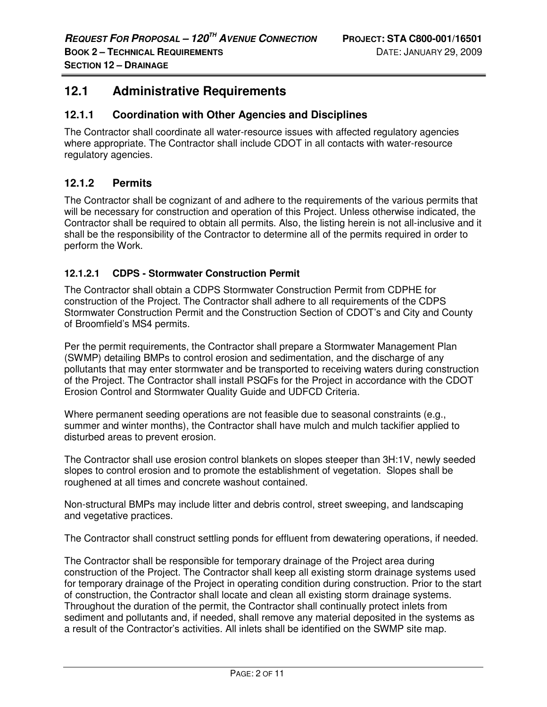# **12.1 Administrative Requirements**

#### **12.1.1 Coordination with Other Agencies and Disciplines**

The Contractor shall coordinate all water-resource issues with affected regulatory agencies where appropriate. The Contractor shall include CDOT in all contacts with water-resource regulatory agencies.

# **12.1.2 Permits**

The Contractor shall be cognizant of and adhere to the requirements of the various permits that will be necessary for construction and operation of this Project. Unless otherwise indicated, the Contractor shall be required to obtain all permits. Also, the listing herein is not all-inclusive and it shall be the responsibility of the Contractor to determine all of the permits required in order to perform the Work.

#### **12.1.2.1 CDPS - Stormwater Construction Permit**

The Contractor shall obtain a CDPS Stormwater Construction Permit from CDPHE for construction of the Project. The Contractor shall adhere to all requirements of the CDPS Stormwater Construction Permit and the Construction Section of CDOT's and City and County of Broomfield's MS4 permits.

Per the permit requirements, the Contractor shall prepare a Stormwater Management Plan (SWMP) detailing BMPs to control erosion and sedimentation, and the discharge of any pollutants that may enter stormwater and be transported to receiving waters during construction of the Project. The Contractor shall install PSQFs for the Project in accordance with the CDOT Erosion Control and Stormwater Quality Guide and UDFCD Criteria.

Where permanent seeding operations are not feasible due to seasonal constraints (e.g., summer and winter months), the Contractor shall have mulch and mulch tackifier applied to disturbed areas to prevent erosion.

The Contractor shall use erosion control blankets on slopes steeper than 3H:1V, newly seeded slopes to control erosion and to promote the establishment of vegetation. Slopes shall be roughened at all times and concrete washout contained.

Non-structural BMPs may include litter and debris control, street sweeping, and landscaping and vegetative practices.

The Contractor shall construct settling ponds for effluent from dewatering operations, if needed.

The Contractor shall be responsible for temporary drainage of the Project area during construction of the Project. The Contractor shall keep all existing storm drainage systems used for temporary drainage of the Project in operating condition during construction. Prior to the start of construction, the Contractor shall locate and clean all existing storm drainage systems. Throughout the duration of the permit, the Contractor shall continually protect inlets from sediment and pollutants and, if needed, shall remove any material deposited in the systems as a result of the Contractor's activities. All inlets shall be identified on the SWMP site map.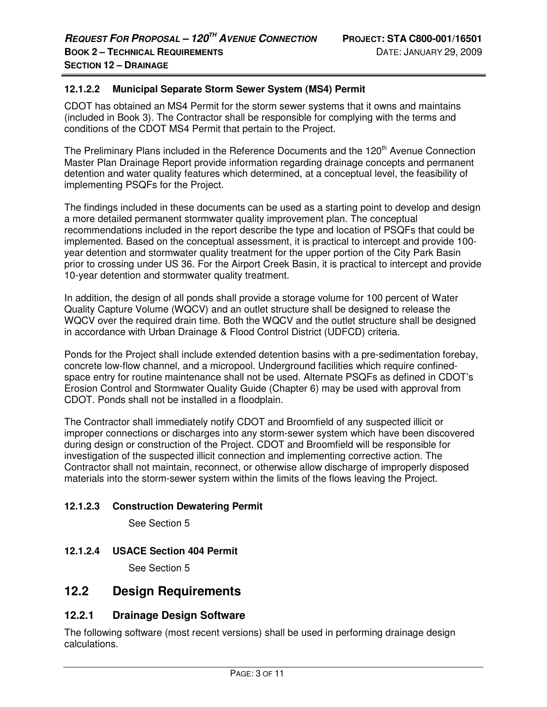#### **12.1.2.2 Municipal Separate Storm Sewer System (MS4) Permit**

CDOT has obtained an MS4 Permit for the storm sewer systems that it owns and maintains (included in Book 3). The Contractor shall be responsible for complying with the terms and conditions of the CDOT MS4 Permit that pertain to the Project.

The Preliminary Plans included in the Reference Documents and the 120<sup>th</sup> Avenue Connection Master Plan Drainage Report provide information regarding drainage concepts and permanent detention and water quality features which determined, at a conceptual level, the feasibility of implementing PSQFs for the Project.

The findings included in these documents can be used as a starting point to develop and design a more detailed permanent stormwater quality improvement plan. The conceptual recommendations included in the report describe the type and location of PSQFs that could be implemented. Based on the conceptual assessment, it is practical to intercept and provide 100 year detention and stormwater quality treatment for the upper portion of the City Park Basin prior to crossing under US 36. For the Airport Creek Basin, it is practical to intercept and provide 10-year detention and stormwater quality treatment.

In addition, the design of all ponds shall provide a storage volume for 100 percent of Water Quality Capture Volume (WQCV) and an outlet structure shall be designed to release the WQCV over the required drain time. Both the WQCV and the outlet structure shall be designed in accordance with Urban Drainage & Flood Control District (UDFCD) criteria.

Ponds for the Project shall include extended detention basins with a pre-sedimentation forebay, concrete low-flow channel, and a micropool. Underground facilities which require confinedspace entry for routine maintenance shall not be used. Alternate PSQFs as defined in CDOT's Erosion Control and Stormwater Quality Guide (Chapter 6) may be used with approval from CDOT. Ponds shall not be installed in a floodplain.

The Contractor shall immediately notify CDOT and Broomfield of any suspected illicit or improper connections or discharges into any storm-sewer system which have been discovered during design or construction of the Project. CDOT and Broomfield will be responsible for investigation of the suspected illicit connection and implementing corrective action. The Contractor shall not maintain, reconnect, or otherwise allow discharge of improperly disposed materials into the storm-sewer system within the limits of the flows leaving the Project.

#### **12.1.2.3 Construction Dewatering Permit**

See Section 5

# **12.1.2.4 USACE Section 404 Permit**

See Section 5

# **12.2 Design Requirements**

# **12.2.1 Drainage Design Software**

The following software (most recent versions) shall be used in performing drainage design calculations.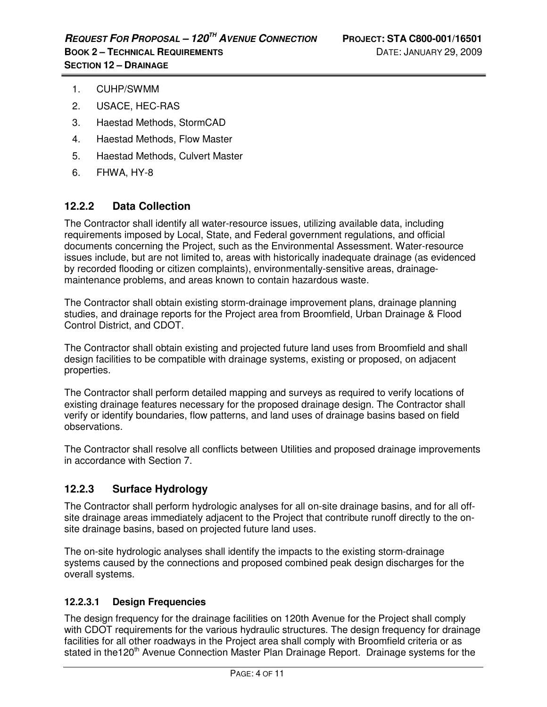- 1. CUHP/SWMM
- 2. USACE, HEC-RAS
- 3. Haestad Methods, StormCAD
- 4. Haestad Methods, Flow Master
- 5. Haestad Methods, Culvert Master
- 6. FHWA, HY-8

# **12.2.2 Data Collection**

The Contractor shall identify all water-resource issues, utilizing available data, including requirements imposed by Local, State, and Federal government regulations, and official documents concerning the Project, such as the Environmental Assessment. Water-resource issues include, but are not limited to, areas with historically inadequate drainage (as evidenced by recorded flooding or citizen complaints), environmentally-sensitive areas, drainagemaintenance problems, and areas known to contain hazardous waste.

The Contractor shall obtain existing storm-drainage improvement plans, drainage planning studies, and drainage reports for the Project area from Broomfield, Urban Drainage & Flood Control District, and CDOT.

The Contractor shall obtain existing and projected future land uses from Broomfield and shall design facilities to be compatible with drainage systems, existing or proposed, on adjacent properties.

The Contractor shall perform detailed mapping and surveys as required to verify locations of existing drainage features necessary for the proposed drainage design. The Contractor shall verify or identify boundaries, flow patterns, and land uses of drainage basins based on field observations.

The Contractor shall resolve all conflicts between Utilities and proposed drainage improvements in accordance with Section 7.

# **12.2.3 Surface Hydrology**

The Contractor shall perform hydrologic analyses for all on-site drainage basins, and for all offsite drainage areas immediately adjacent to the Project that contribute runoff directly to the onsite drainage basins, based on projected future land uses.

The on-site hydrologic analyses shall identify the impacts to the existing storm-drainage systems caused by the connections and proposed combined peak design discharges for the overall systems.

# **12.2.3.1 Design Frequencies**

The design frequency for the drainage facilities on 120th Avenue for the Project shall comply with CDOT requirements for the various hydraulic structures. The design frequency for drainage facilities for all other roadways in the Project area shall comply with Broomfield criteria or as stated in the120<sup>th</sup> Avenue Connection Master Plan Drainage Report. Drainage systems for the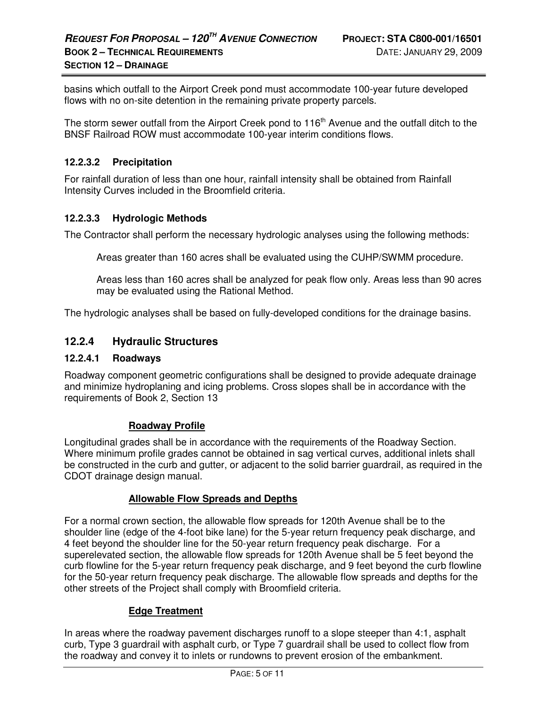basins which outfall to the Airport Creek pond must accommodate 100-year future developed flows with no on-site detention in the remaining private property parcels.

The storm sewer outfall from the Airport Creek pond to 116<sup>th</sup> Avenue and the outfall ditch to the BNSF Railroad ROW must accommodate 100-year interim conditions flows.

#### **12.2.3.2 Precipitation**

For rainfall duration of less than one hour, rainfall intensity shall be obtained from Rainfall Intensity Curves included in the Broomfield criteria.

#### **12.2.3.3 Hydrologic Methods**

The Contractor shall perform the necessary hydrologic analyses using the following methods:

Areas greater than 160 acres shall be evaluated using the CUHP/SWMM procedure.

Areas less than 160 acres shall be analyzed for peak flow only. Areas less than 90 acres may be evaluated using the Rational Method.

The hydrologic analyses shall be based on fully-developed conditions for the drainage basins.

# **12.2.4 Hydraulic Structures**

#### **12.2.4.1 Roadways**

Roadway component geometric configurations shall be designed to provide adequate drainage and minimize hydroplaning and icing problems. Cross slopes shall be in accordance with the requirements of Book 2, Section 13

#### **Roadway Profile**

Longitudinal grades shall be in accordance with the requirements of the Roadway Section. Where minimum profile grades cannot be obtained in sag vertical curves, additional inlets shall be constructed in the curb and gutter, or adjacent to the solid barrier guardrail, as required in the CDOT drainage design manual.

#### **Allowable Flow Spreads and Depths**

For a normal crown section, the allowable flow spreads for 120th Avenue shall be to the shoulder line (edge of the 4-foot bike lane) for the 5-year return frequency peak discharge, and 4 feet beyond the shoulder line for the 50-year return frequency peak discharge. For a superelevated section, the allowable flow spreads for 120th Avenue shall be 5 feet beyond the curb flowline for the 5-year return frequency peak discharge, and 9 feet beyond the curb flowline for the 50-year return frequency peak discharge. The allowable flow spreads and depths for the other streets of the Project shall comply with Broomfield criteria.

#### **Edge Treatment**

In areas where the roadway pavement discharges runoff to a slope steeper than 4:1, asphalt curb, Type 3 guardrail with asphalt curb, or Type 7 guardrail shall be used to collect flow from the roadway and convey it to inlets or rundowns to prevent erosion of the embankment.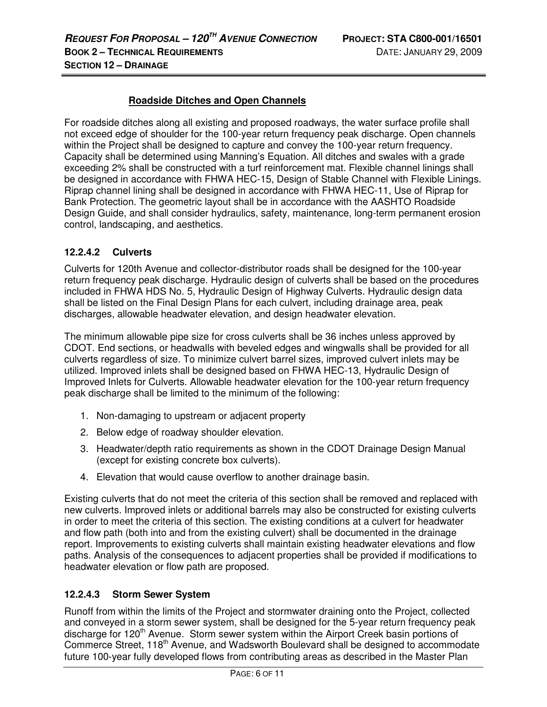# **Roadside Ditches and Open Channels**

For roadside ditches along all existing and proposed roadways, the water surface profile shall not exceed edge of shoulder for the 100-year return frequency peak discharge. Open channels within the Project shall be designed to capture and convey the 100-year return frequency. Capacity shall be determined using Manning's Equation. All ditches and swales with a grade exceeding 2% shall be constructed with a turf reinforcement mat. Flexible channel linings shall be designed in accordance with FHWA HEC-15, Design of Stable Channel with Flexible Linings. Riprap channel lining shall be designed in accordance with FHWA HEC-11, Use of Riprap for Bank Protection. The geometric layout shall be in accordance with the AASHTO Roadside Design Guide, and shall consider hydraulics, safety, maintenance, long-term permanent erosion control, landscaping, and aesthetics.

# **12.2.4.2 Culverts**

Culverts for 120th Avenue and collector-distributor roads shall be designed for the 100-year return frequency peak discharge. Hydraulic design of culverts shall be based on the procedures included in FHWA HDS No. 5, Hydraulic Design of Highway Culverts. Hydraulic design data shall be listed on the Final Design Plans for each culvert, including drainage area, peak discharges, allowable headwater elevation, and design headwater elevation.

The minimum allowable pipe size for cross culverts shall be 36 inches unless approved by CDOT. End sections, or headwalls with beveled edges and wingwalls shall be provided for all culverts regardless of size. To minimize culvert barrel sizes, improved culvert inlets may be utilized. Improved inlets shall be designed based on FHWA HEC-13, Hydraulic Design of Improved Inlets for Culverts. Allowable headwater elevation for the 100-year return frequency peak discharge shall be limited to the minimum of the following:

- 1. Non-damaging to upstream or adjacent property
- 2. Below edge of roadway shoulder elevation.
- 3. Headwater/depth ratio requirements as shown in the CDOT Drainage Design Manual (except for existing concrete box culverts).
- 4. Elevation that would cause overflow to another drainage basin.

Existing culverts that do not meet the criteria of this section shall be removed and replaced with new culverts. Improved inlets or additional barrels may also be constructed for existing culverts in order to meet the criteria of this section. The existing conditions at a culvert for headwater and flow path (both into and from the existing culvert) shall be documented in the drainage report. Improvements to existing culverts shall maintain existing headwater elevations and flow paths. Analysis of the consequences to adjacent properties shall be provided if modifications to headwater elevation or flow path are proposed.

# **12.2.4.3 Storm Sewer System**

Runoff from within the limits of the Project and stormwater draining onto the Project, collected and conveyed in a storm sewer system, shall be designed for the 5-year return frequency peak discharge for 120<sup>th</sup> Avenue. Storm sewer system within the Airport Creek basin portions of Commerce Street, 118<sup>th</sup> Avenue, and Wadsworth Boulevard shall be designed to accommodate future 100-year fully developed flows from contributing areas as described in the Master Plan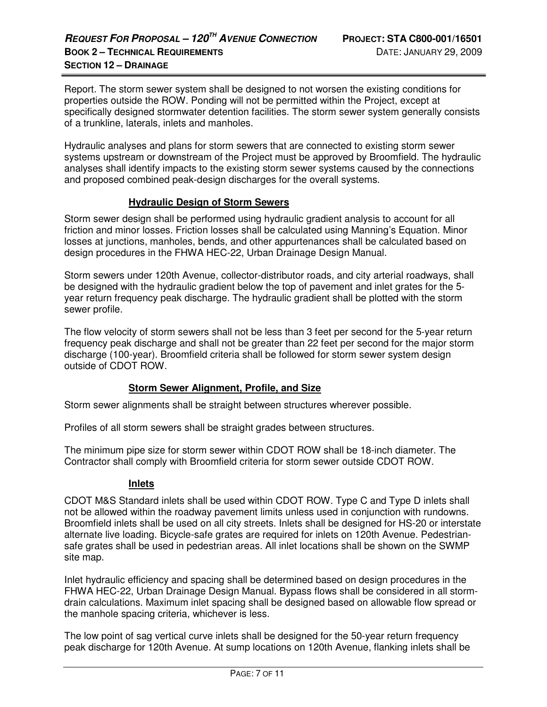Report. The storm sewer system shall be designed to not worsen the existing conditions for properties outside the ROW. Ponding will not be permitted within the Project, except at specifically designed stormwater detention facilities. The storm sewer system generally consists of a trunkline, laterals, inlets and manholes.

Hydraulic analyses and plans for storm sewers that are connected to existing storm sewer systems upstream or downstream of the Project must be approved by Broomfield. The hydraulic analyses shall identify impacts to the existing storm sewer systems caused by the connections and proposed combined peak-design discharges for the overall systems.

#### **Hydraulic Design of Storm Sewers**

Storm sewer design shall be performed using hydraulic gradient analysis to account for all friction and minor losses. Friction losses shall be calculated using Manning's Equation. Minor losses at junctions, manholes, bends, and other appurtenances shall be calculated based on design procedures in the FHWA HEC-22, Urban Drainage Design Manual.

Storm sewers under 120th Avenue, collector-distributor roads, and city arterial roadways, shall be designed with the hydraulic gradient below the top of pavement and inlet grates for the 5 year return frequency peak discharge. The hydraulic gradient shall be plotted with the storm sewer profile.

The flow velocity of storm sewers shall not be less than 3 feet per second for the 5-year return frequency peak discharge and shall not be greater than 22 feet per second for the major storm discharge (100-year). Broomfield criteria shall be followed for storm sewer system design outside of CDOT ROW.

#### **Storm Sewer Alignment, Profile, and Size**

Storm sewer alignments shall be straight between structures wherever possible.

Profiles of all storm sewers shall be straight grades between structures.

The minimum pipe size for storm sewer within CDOT ROW shall be 18-inch diameter. The Contractor shall comply with Broomfield criteria for storm sewer outside CDOT ROW.

#### **Inlets**

CDOT M&S Standard inlets shall be used within CDOT ROW. Type C and Type D inlets shall not be allowed within the roadway pavement limits unless used in conjunction with rundowns. Broomfield inlets shall be used on all city streets. Inlets shall be designed for HS-20 or interstate alternate live loading. Bicycle-safe grates are required for inlets on 120th Avenue. Pedestriansafe grates shall be used in pedestrian areas. All inlet locations shall be shown on the SWMP site map.

Inlet hydraulic efficiency and spacing shall be determined based on design procedures in the FHWA HEC-22, Urban Drainage Design Manual. Bypass flows shall be considered in all stormdrain calculations. Maximum inlet spacing shall be designed based on allowable flow spread or the manhole spacing criteria, whichever is less.

The low point of sag vertical curve inlets shall be designed for the 50-year return frequency peak discharge for 120th Avenue. At sump locations on 120th Avenue, flanking inlets shall be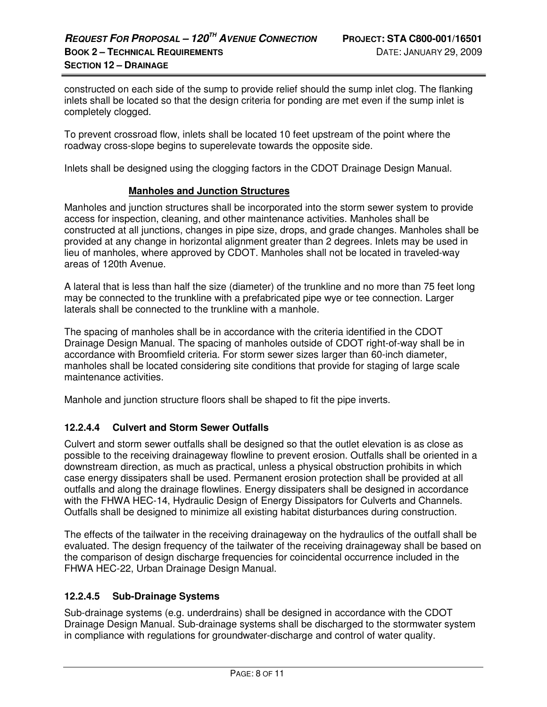constructed on each side of the sump to provide relief should the sump inlet clog. The flanking inlets shall be located so that the design criteria for ponding are met even if the sump inlet is completely clogged.

To prevent crossroad flow, inlets shall be located 10 feet upstream of the point where the roadway cross-slope begins to superelevate towards the opposite side.

Inlets shall be designed using the clogging factors in the CDOT Drainage Design Manual.

#### **Manholes and Junction Structures**

Manholes and junction structures shall be incorporated into the storm sewer system to provide access for inspection, cleaning, and other maintenance activities. Manholes shall be constructed at all junctions, changes in pipe size, drops, and grade changes. Manholes shall be provided at any change in horizontal alignment greater than 2 degrees. Inlets may be used in lieu of manholes, where approved by CDOT. Manholes shall not be located in traveled-way areas of 120th Avenue.

A lateral that is less than half the size (diameter) of the trunkline and no more than 75 feet long may be connected to the trunkline with a prefabricated pipe wye or tee connection. Larger laterals shall be connected to the trunkline with a manhole.

The spacing of manholes shall be in accordance with the criteria identified in the CDOT Drainage Design Manual. The spacing of manholes outside of CDOT right-of-way shall be in accordance with Broomfield criteria. For storm sewer sizes larger than 60-inch diameter, manholes shall be located considering site conditions that provide for staging of large scale maintenance activities.

Manhole and junction structure floors shall be shaped to fit the pipe inverts.

#### **12.2.4.4 Culvert and Storm Sewer Outfalls**

Culvert and storm sewer outfalls shall be designed so that the outlet elevation is as close as possible to the receiving drainageway flowline to prevent erosion. Outfalls shall be oriented in a downstream direction, as much as practical, unless a physical obstruction prohibits in which case energy dissipaters shall be used. Permanent erosion protection shall be provided at all outfalls and along the drainage flowlines. Energy dissipaters shall be designed in accordance with the FHWA HEC-14, Hydraulic Design of Energy Dissipators for Culverts and Channels. Outfalls shall be designed to minimize all existing habitat disturbances during construction.

The effects of the tailwater in the receiving drainageway on the hydraulics of the outfall shall be evaluated. The design frequency of the tailwater of the receiving drainageway shall be based on the comparison of design discharge frequencies for coincidental occurrence included in the FHWA HEC-22, Urban Drainage Design Manual.

#### **12.2.4.5 Sub-Drainage Systems**

Sub-drainage systems (e.g. underdrains) shall be designed in accordance with the CDOT Drainage Design Manual. Sub-drainage systems shall be discharged to the stormwater system in compliance with regulations for groundwater-discharge and control of water quality.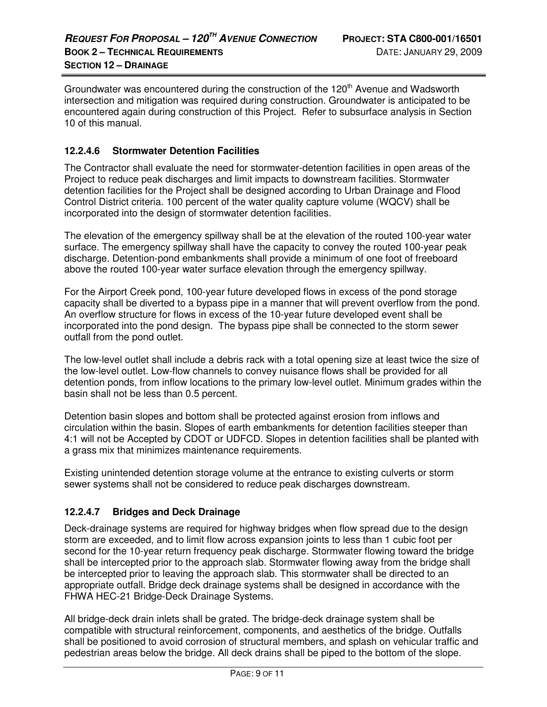Groundwater was encountered during the construction of the  $120<sup>th</sup>$  Avenue and Wadsworth intersection and mitigation was required during construction. Groundwater is anticipated to be encountered again during construction of this Project. Refer to subsurface analysis in Section 10 of this manual.

# **12.2.4.6 Stormwater Detention Facilities**

The Contractor shall evaluate the need for stormwater-detention facilities in open areas of the Project to reduce peak discharges and limit impacts to downstream facilities. Stormwater detention facilities for the Project shall be designed according to Urban Drainage and Flood Control District criteria. 100 percent of the water quality capture volume (WQCV) shall be incorporated into the design of stormwater detention facilities.

The elevation of the emergency spillway shall be at the elevation of the routed 100-year water surface. The emergency spillway shall have the capacity to convey the routed 100-year peak discharge. Detention-pond embankments shall provide a minimum of one foot of freeboard above the routed 100-year water surface elevation through the emergency spillway.

For the Airport Creek pond, 100-year future developed flows in excess of the pond storage capacity shall be diverted to a bypass pipe in a manner that will prevent overflow from the pond. An overflow structure for flows in excess of the 10-year future developed event shall be incorporated into the pond design. The bypass pipe shall be connected to the storm sewer outfall from the pond outlet.

The low-level outlet shall include a debris rack with a total opening size at least twice the size of the low-level outlet. Low-flow channels to convey nuisance flows shall be provided for all detention ponds, from inflow locations to the primary low-level outlet. Minimum grades within the basin shall not be less than 0.5 percent.

Detention basin slopes and bottom shall be protected against erosion from inflows and circulation within the basin. Slopes of earth embankments for detention facilities steeper than 4:1 will not be Accepted by CDOT or UDFCD. Slopes in detention facilities shall be planted with a grass mix that minimizes maintenance requirements.

Existing unintended detention storage volume at the entrance to existing culverts or storm sewer systems shall not be considered to reduce peak discharges downstream.

# **12.2.4.7 Bridges and Deck Drainage**

Deck-drainage systems are required for highway bridges when flow spread due to the design storm are exceeded, and to limit flow across expansion joints to less than 1 cubic foot per second for the 10-year return frequency peak discharge. Stormwater flowing toward the bridge shall be intercepted prior to the approach slab. Stormwater flowing away from the bridge shall be intercepted prior to leaving the approach slab. This stormwater shall be directed to an appropriate outfall. Bridge deck drainage systems shall be designed in accordance with the FHWA HEC-21 Bridge-Deck Drainage Systems.

All bridge-deck drain inlets shall be grated. The bridge-deck drainage system shall be compatible with structural reinforcement, components, and aesthetics of the bridge. Outfalls shall be positioned to avoid corrosion of structural members, and splash on vehicular traffic and pedestrian areas below the bridge. All deck drains shall be piped to the bottom of the slope.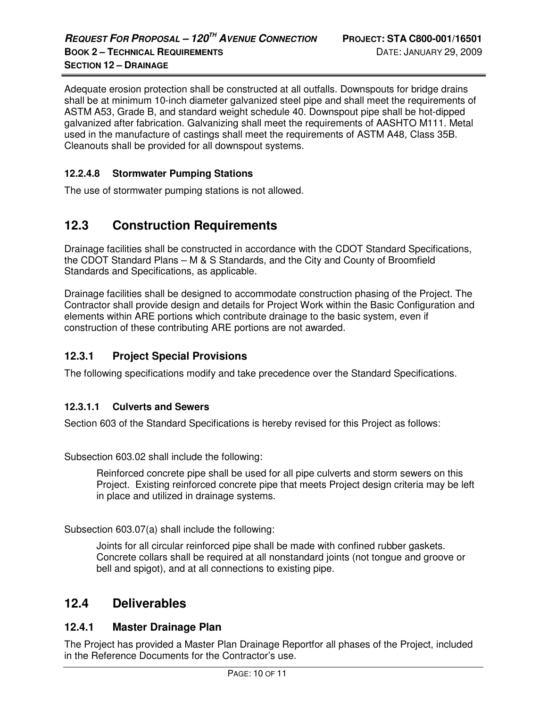Adequate erosion protection shall be constructed at all outfalls. Downspouts for bridge drains shall be at minimum 10-inch diameter galvanized steel pipe and shall meet the requirements of ASTM A53, Grade B, and standard weight schedule 40. Downspout pipe shall be hot-dipped galvanized after fabrication. Galvanizing shall meet the requirements of AASHTO M111. Metal used in the manufacture of castings shall meet the requirements of ASTM A48, Class 35B. Cleanouts shall be provided for all downspout systems.

#### **12.2.4.8 Stormwater Pumping Stations**

The use of stormwater pumping stations is not allowed.

# **12.3 Construction Requirements**

Drainage facilities shall be constructed in accordance with the CDOT Standard Specifications, the CDOT Standard Plans – M & S Standards, and the City and County of Broomfield Standards and Specifications, as applicable.

Drainage facilities shall be designed to accommodate construction phasing of the Project. The Contractor shall provide design and details for Project Work within the Basic Configuration and elements within ARE portions which contribute drainage to the basic system, even if construction of these contributing ARE portions are not awarded.

# **12.3.1 Project Special Provisions**

The following specifications modify and take precedence over the Standard Specifications.

#### **12.3.1.1 Culverts and Sewers**

Section 603 of the Standard Specifications is hereby revised for this Project as follows:

Subsection 603.02 shall include the following:

Reinforced concrete pipe shall be used for all pipe culverts and storm sewers on this Project. Existing reinforced concrete pipe that meets Project design criteria may be left in place and utilized in drainage systems.

Subsection 603.07(a) shall include the following:

Joints for all circular reinforced pipe shall be made with confined rubber gaskets. Concrete collars shall be required at all nonstandard joints (not tongue and groove or bell and spigot), and at all connections to existing pipe.

# **12.4 Deliverables**

# **12.4.1 Master Drainage Plan**

The Project has provided a Master Plan Drainage Reportfor all phases of the Project, included in the Reference Documents for the Contractor's use.